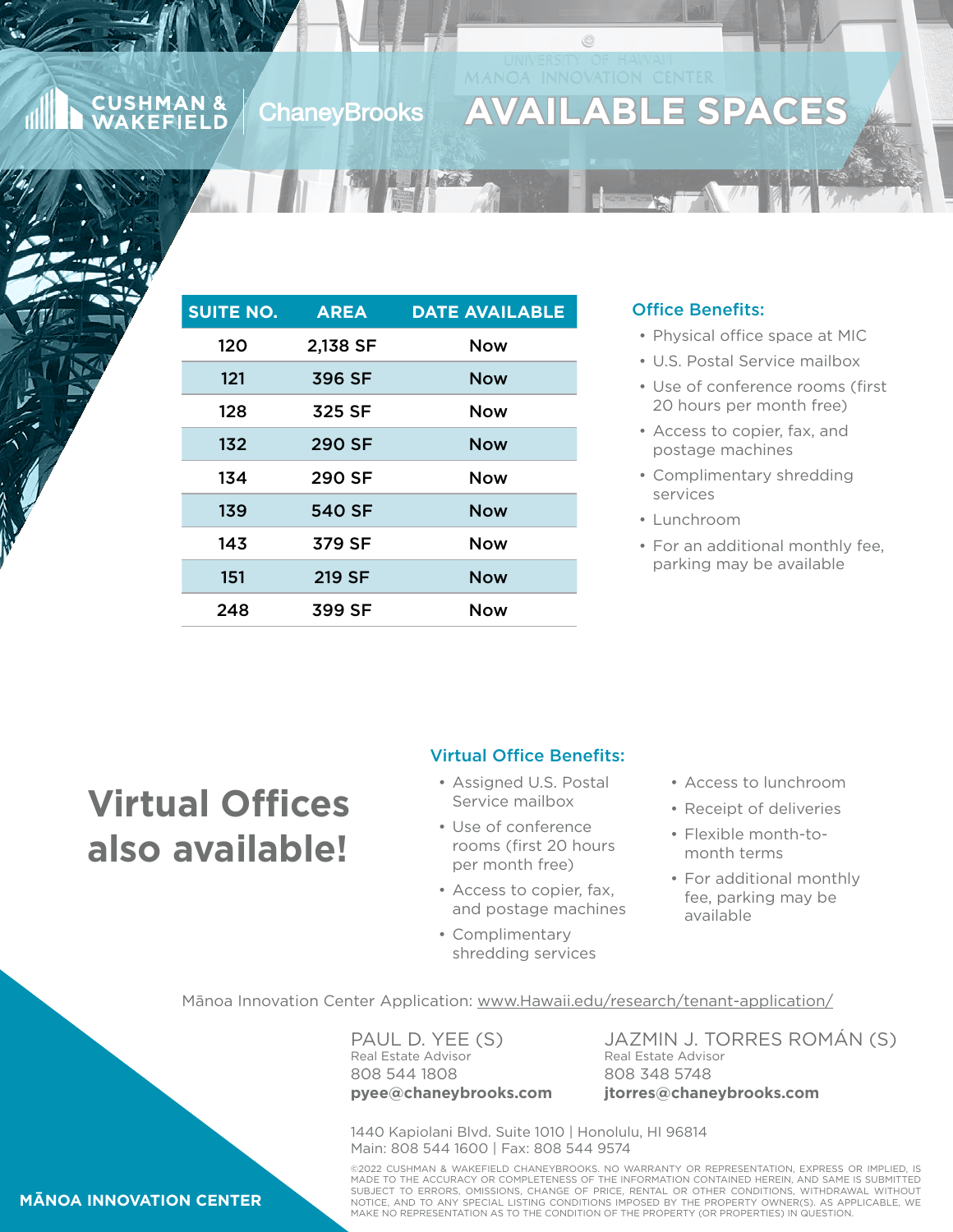#### **CUSHMAN & ChaneyBrooks AKEFIELD**

## **SPACES**

| <b>SUITE NO.</b> | <b>AREA</b>   | <b>DATE AVAILABLE</b> |
|------------------|---------------|-----------------------|
| 120              | 2,138 SF      | <b>Now</b>            |
| 121              | 396 SF        | <b>Now</b>            |
| 128              | 325 SF        | <b>Now</b>            |
| 132              | 290 SF        | <b>Now</b>            |
| 134              | 290 SF        | <b>Now</b>            |
| 139              | <b>540 SF</b> | <b>Now</b>            |
| 143              | 379 SF        | <b>Now</b>            |
| 151              | 219 SF        | <b>Now</b>            |
| 248              | 399 SF        | Now                   |

**TELEVISION** 

#### Office Benefits:

- Physical office space at MIC
- U.S. Postal Service mailbox
- Use of conference rooms (first 20 hours per month free)
- Access to copier, fax, and postage machines
- Complimentary shredding services
- Lunchroom
- For an additional monthly fee, parking may be available

# **Virtual Offices also available!**

#### Virtual Office Benefits:

- Assigned U.S. Postal Service mailbox
- Use of conference rooms (first 20 hours per month free)
- Access to copier, fax, and postage machines
- Complimentary shredding services
- Access to lunchroom
- Receipt of deliveries
- Flexible month-tomonth terms
- For additional monthly fee, parking may be available

Mānoa Innovation Center Application: [www.Hawaii.edu/research/tenant-application/](http://www.Hawaii.edu/research/tenant-application/)

PAUL D. YEE (S) Real Estate Advisor 808 544 1808 **pyee@chaneybrooks.com** JAZMIN J. TORRES ROMÁN (S) Real Estate Advisor 808 348 5748 **jtorres@chaneybrooks.com**

1440 Kapiolani Blvd. Suite 1010 | Honolulu, HI 96814 Main: 808 544 1600 | Fax: 808 544 9574

©2022 CUSHMAN & WAKEFIELD CHANEYBROOKS. NO WARRANTY OR REPRESENTATION, EXPRESS OR IMPLIED, IS<br>MADE TO THE ACCURACY OR COMPLETENESS OF THE INFORMATION CONTAINED HEREIN, AND SAME IS SUBMITTED SUBJECT TO ERRORS, OMISSIONS, CHANGE OF PRICE, RENTAL OR OTHER CONDITIONS, WITHDRAWAL WITHOUT NOTICE, AND TO ANY SPECIAL LISTING CONDITIONS IMPOSED BY THE PROPERTY OWNER(S). AS APPLICABLE, WE MAKE NO REPRESENTATION AS TO THE CONDITION OF THE PROPERTY (OR PROPERTIES) IN QUESTION.

#### **MĀNOA INNOVATION CENTER**